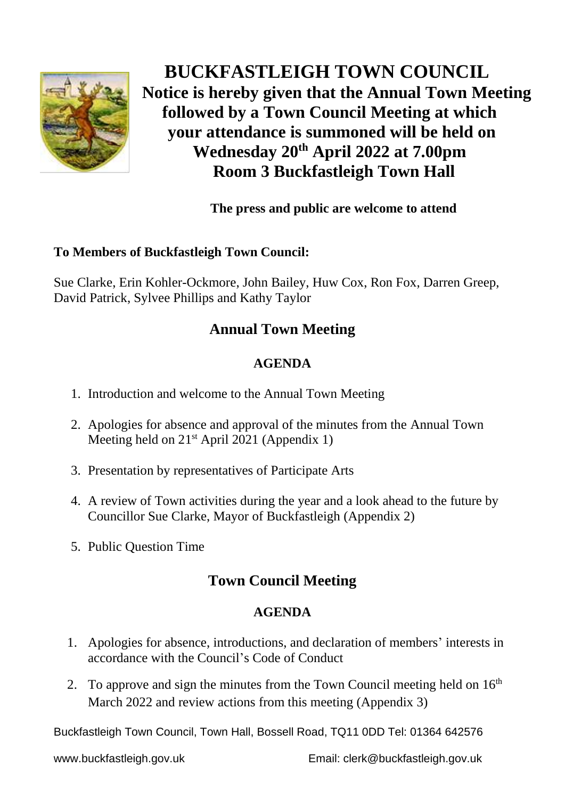

 **BUCKFASTLEIGH TOWN COUNCIL Notice is hereby given that the Annual Town Meeting followed by a Town Council Meeting at which your attendance is summoned will be held on Wednesday 20 th April 2022 at 7.00pm Room 3 Buckfastleigh Town Hall**

## **The press and public are welcome to attend**

#### **To Members of Buckfastleigh Town Council:**

Sue Clarke, Erin Kohler-Ockmore, John Bailey, Huw Cox, Ron Fox, Darren Greep, David Patrick, Sylvee Phillips and Kathy Taylor

## **Annual Town Meeting**

### **AGENDA**

- 1. Introduction and welcome to the Annual Town Meeting
- 2. Apologies for absence and approval of the minutes from the Annual Town Meeting held on 21<sup>st</sup> April 2021 (Appendix 1)
- 3. Presentation by representatives of Participate Arts
- 4. A review of Town activities during the year and a look ahead to the future by Councillor Sue Clarke, Mayor of Buckfastleigh (Appendix 2)
- 5. Public Question Time

# **Town Council Meeting**

#### **AGENDA**

- 1. Apologies for absence, introductions, and declaration of members' interests in accordance with the Council's Code of Conduct
- 2. To approve and sign the minutes from the Town Council meeting held on  $16<sup>th</sup>$ March 2022 and review actions from this meeting (Appendix 3)

Buckfastleigh Town Council, Town Hall, Bossell Road, TQ11 0DD Tel: 01364 642576

www.buckfastleigh.gov.uk Email: clerk@buckfastleigh.gov.uk